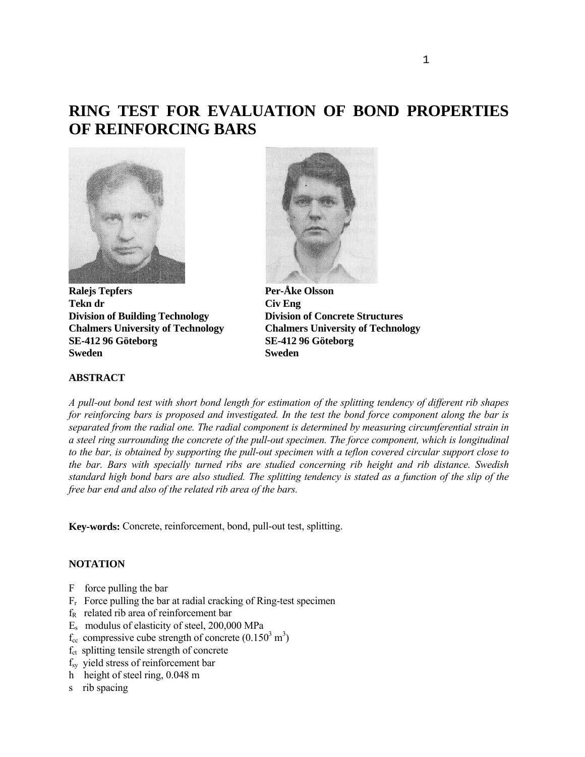# **RING TEST FOR EVALUATION OF BOND PROPERTIES OF REINFORCING BARS**



**Ralejs Tepfers** Per-Åke Olsson Tekn dr **Civ Eng Division of Building Technology Division of Concrete Structures Chalmers University of Technology Chalmers University of Technology SE-412 96 Göteborg SE-412 96 Göteborg Sweden Sweden** 



# **ABSTRACT**

*A pull-out bond test with short bond length for estimation of the splitting tendency of different rib shapes for reinforcing bars is proposed and investigated. In the test the bond force component along the bar is separated from the radial one. The radial component is determined by measuring circumferential strain in a steel ring surrounding the concrete of the pull-out specimen. The force component, which is longitudinal to the bar, is obtained by supporting the pull-out specimen with a teflon covered circular support close to the bar. Bars with specially turned ribs are studied concerning rib height and rib distance. Swedish standard high bond bars are also studied. The splitting tendency is stated as a function of the slip of the free bar end and also of the related rib area of the bars.* 

**Key-words:** Concrete, reinforcement, bond, pull-out test, splitting.

# **NOTATION**

- F force pulling the bar
- $F_r$  Force pulling the bar at radial cracking of Ring-test specimen
- fR related rib area of reinforcement bar
- Es modulus of elasticity of steel, 200,000 MPa
- $f_{\rm cc}$  compressive cube strength of concrete  $(0.150^3 \text{ m}^3)$
- f<sub>ct</sub> splitting tensile strength of concrete
- fsy yield stress of reinforcement bar
- h height of steel ring, 0.048 m
- s rib spacing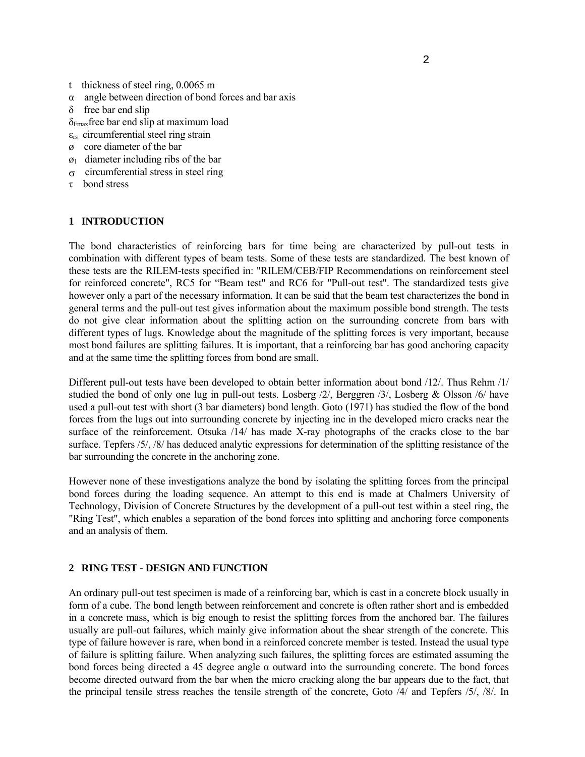- t thickness of steel ring, 0.0065 m
- α angle between direction of bond forces and bar axis
- δ free bar end slip
- δFmaxfree bar end slip at maximum load
- $\epsilon_{rs}$  circumferential steel ring strain
- ø core diameter of the bar
- $\varnothing_1$  diameter including ribs of the bar
- σ circumferential stress in steel ring
- τ bond stress

# **1 INTRODUCTION**

The bond characteristics of reinforcing bars for time being are characterized by pull-out tests in combination with different types of beam tests. Some of these tests are standardized. The best known of these tests are the RILEM-tests specified in: "RILEM/CEB/FIP Recommendations on reinforcement steel for reinforced concrete", RC5 for "Beam test" and RC6 for "Pull-out test". The standardized tests give however only a part of the necessary information. It can be said that the beam test characterizes the bond in general terms and the pull-out test gives information about the maximum possible bond strength. The tests do not give clear information about the splitting action on the surrounding concrete from bars with different types of lugs. Knowledge about the magnitude of the splitting forces is very important, because most bond failures are splitting failures. It is important, that a reinforcing bar has good anchoring capacity and at the same time the splitting forces from bond are small.

Different pull-out tests have been developed to obtain better information about bond /12/. Thus Rehm /1/ studied the bond of only one lug in pull-out tests. Losberg /2/, Berggren /3/, Losberg & Olsson /6/ have used a pull-out test with short (3 bar diameters) bond length. Goto (1971) has studied the flow of the bond forces from the lugs out into surrounding concrete by injecting inc in the developed micro cracks near the surface of the reinforcement. Otsuka /14/ has made X-ray photographs of the cracks close to the bar surface. Tepfers /5/, /8/ has deduced analytic expressions for determination of the splitting resistance of the bar surrounding the concrete in the anchoring zone.

However none of these investigations analyze the bond by isolating the splitting forces from the principal bond forces during the loading sequence. An attempt to this end is made at Chalmers University of Technology, Division of Concrete Structures by the development of a pull-out test within a steel ring, the "Ring Test", which enables a separation of the bond forces into splitting and anchoring force components and an analysis of them.

## **2 RING TEST - DESIGN AND FUNCTION**

An ordinary pull-out test specimen is made of a reinforcing bar, which is cast in a concrete block usually in form of a cube. The bond length between reinforcement and concrete is often rather short and is embedded in a concrete mass, which is big enough to resist the splitting forces from the anchored bar. The failures usually are pull-out failures, which mainly give information about the shear strength of the concrete. This type of failure however is rare, when bond in a reinforced concrete member is tested. Instead the usual type of failure is splitting failure. When analyzing such failures, the splitting forces are estimated assuming the bond forces being directed a 45 degree angle α outward into the surrounding concrete. The bond forces become directed outward from the bar when the micro cracking along the bar appears due to the fact, that the principal tensile stress reaches the tensile strength of the concrete, Goto /4/ and Tepfers /5/, /8/. In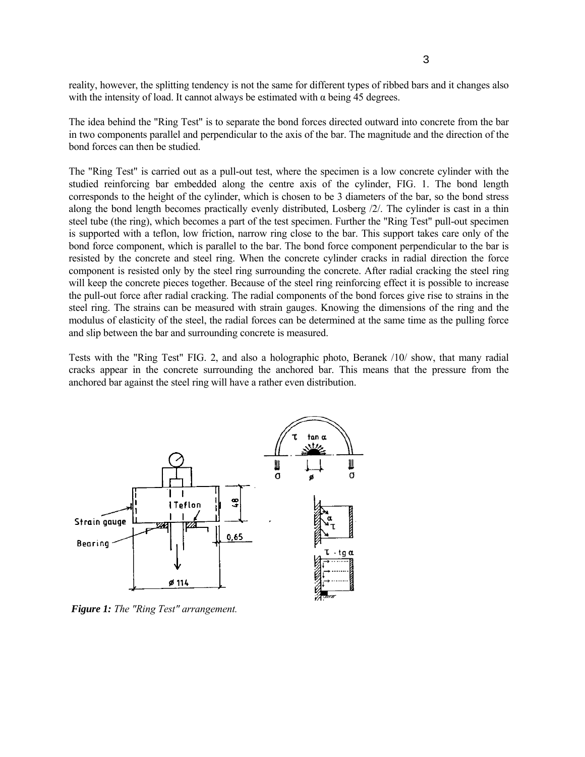reality, however, the splitting tendency is not the same for different types of ribbed bars and it changes also with the intensity of load. It cannot always be estimated with  $\alpha$  being 45 degrees.

The idea behind the "Ring Test" is to separate the bond forces directed outward into concrete from the bar in two components parallel and perpendicular to the axis of the bar. The magnitude and the direction of the bond forces can then be studied.

The "Ring Test" is carried out as a pull-out test, where the specimen is a low concrete cylinder with the studied reinforcing bar embedded along the centre axis of the cylinder, FIG. 1. The bond length corresponds to the height of the cylinder, which is chosen to be 3 diameters of the bar, so the bond stress along the bond length becomes practically evenly distributed, Losberg /2/. The cylinder is cast in a thin steel tube (the ring), which becomes a part of the test specimen. Further the "Ring Test" pull-out specimen is supported with a teflon, low friction, narrow ring close to the bar. This support takes care only of the bond force component, which is parallel to the bar. The bond force component perpendicular to the bar is resisted by the concrete and steel ring. When the concrete cylinder cracks in radial direction the force component is resisted only by the steel ring surrounding the concrete. After radial cracking the steel ring will keep the concrete pieces together. Because of the steel ring reinforcing effect it is possible to increase the pull-out force after radial cracking. The radial components of the bond forces give rise to strains in the steel ring. The strains can be measured with strain gauges. Knowing the dimensions of the ring and the modulus of elasticity of the steel, the radial forces can be determined at the same time as the pulling force and slip between the bar and surrounding concrete is measured.

Tests with the "Ring Test" FIG. 2, and also a holographic photo, Beranek /10/ show, that many radial cracks appear in the concrete surrounding the anchored bar. This means that the pressure from the anchored bar against the steel ring will have a rather even distribution.



*Figure 1: The "Ring Test" arrangement.*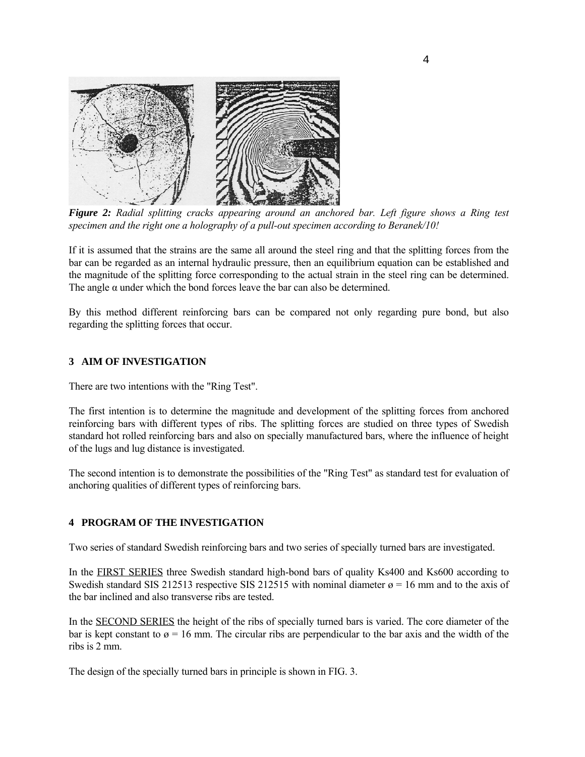

*Figure 2: Radial splitting cracks appearing around an anchored bar. Left figure shows a Ring test specimen and the right one a holography of a pull-out specimen according to Beranek/10!* 

If it is assumed that the strains are the same all around the steel ring and that the splitting forces from the bar can be regarded as an internal hydraulic pressure, then an equilibrium equation can be established and the magnitude of the splitting force corresponding to the actual strain in the steel ring can be determined. The angle  $\alpha$  under which the bond forces leave the bar can also be determined.

By this method different reinforcing bars can be compared not only regarding pure bond, but also regarding the splitting forces that occur.

# **3 AIM OF INVESTIGATION**

There are two intentions with the "Ring Test".

The first intention is to determine the magnitude and development of the splitting forces from anchored reinforcing bars with different types of ribs. The splitting forces are studied on three types of Swedish standard hot rolled reinforcing bars and also on specially manufactured bars, where the influence of height of the lugs and lug distance is investigated.

The second intention is to demonstrate the possibilities of the "Ring Test" as standard test for evaluation of anchoring qualities of different types of reinforcing bars.

## **4 PROGRAM OF THE INVESTIGATION**

Two series of standard Swedish reinforcing bars and two series of specially turned bars are investigated.

In the FIRST SERIES three Swedish standard high-bond bars of quality Ks400 and Ks600 according to Swedish standard SIS 212513 respective SIS 212515 with nominal diameter  $\alpha$  = 16 mm and to the axis of the bar inclined and also transverse ribs are tested.

In the SECOND SERIES the height of the ribs of specially turned bars is varied. The core diameter of the bar is kept constant to  $\varnothing = 16$  mm. The circular ribs are perpendicular to the bar axis and the width of the ribs is 2 mm.

The design of the specially turned bars in principle is shown in FIG. 3.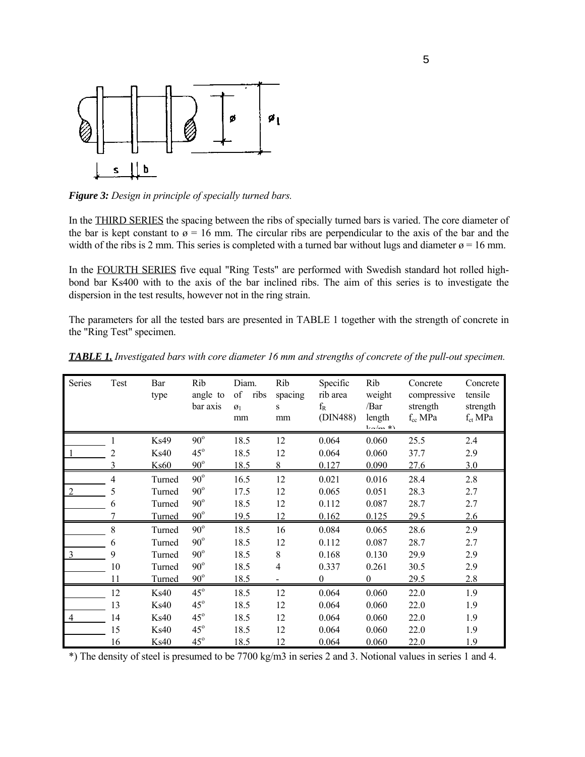

*Figure 3: Design in principle of specially turned bars.*

In the THIRD SERIES the spacing between the ribs of specially turned bars is varied. The core diameter of the bar is kept constant to  $\varnothing = 16$  mm. The circular ribs are perpendicular to the axis of the bar and the width of the ribs is 2 mm. This series is completed with a turned bar without lugs and diameter  $\alpha$  = 16 mm.

In the FOURTH SERIES five equal "Ring Tests" are performed with Swedish standard hot rolled highbond bar Ks400 with to the axis of the bar inclined ribs. The aim of this series is to investigate the dispersion in the test results, however not in the ring strain.

The parameters for all the tested bars are presented in TABLE 1 together with the strength of concrete in the "Ring Test" specimen.

| Series         | Test | Bar<br>type   | Rib<br>angle to<br>bar axis | Diam.<br>of<br>ribs<br>$\mathfrak{g}_1$<br>mm | Rib<br>spacing<br>S<br>mm | Specific<br>rib area<br>$f_{R}$<br>(DIN488) | Rib<br>weight<br>/Bar<br>length<br>$l_{\rm rot}/m$ *) | Concrete<br>compressive<br>strength<br>$f_{cc}$ MPa | Concrete<br>tensile<br>strength<br>$f_{ct}$ MPa |
|----------------|------|---------------|-----------------------------|-----------------------------------------------|---------------------------|---------------------------------------------|-------------------------------------------------------|-----------------------------------------------------|-------------------------------------------------|
|                |      | Ks49          | $90^\circ$                  | 18.5                                          | 12                        | 0.064                                       | 0.060                                                 | 25.5                                                | 2.4                                             |
|                |      | <b>Ks40</b>   | $45^\circ$                  | 18.5                                          | 12                        | 0.064                                       | 0.060                                                 | 37.7                                                | 2.9                                             |
|                | 3    | <b>Ks60</b>   | $90^\circ$                  | 18.5                                          | 8                         | 0.127                                       | 0.090                                                 | 27.6                                                | 3.0                                             |
|                | 4    | Turned        | $90^\circ$                  | 16.5                                          | 12                        | 0.021                                       | 0.016                                                 | 28.4                                                | 2.8                                             |
| 2              | 5    | Turned        | $90^\circ$                  | 17.5                                          | 12                        | 0.065                                       | 0.051                                                 | 28.3                                                | 2.7                                             |
|                | 6    | Turned        | $90^\circ$                  | 18.5                                          | 12                        | 0.112                                       | 0.087                                                 | 28.7                                                | 2.7                                             |
|                |      | Turned        | $90^\circ$                  | 19.5                                          | 12                        | 0.162                                       | 0.125                                                 | 29.5                                                | 2.6                                             |
|                | 8    | Turned        | $90^\circ$                  | 18.5                                          | 16                        | 0.084                                       | 0.065                                                 | 28.6                                                | 2.9                                             |
|                | 6    | Turned        | $90^\circ$                  | 18.5                                          | 12                        | 0.112                                       | 0.087                                                 | 28.7                                                | 2.7                                             |
| 3              | 9    | Turned        | $90^\circ$                  | 18.5                                          | $8\,$                     | 0.168                                       | 0.130                                                 | 29.9                                                | 2.9                                             |
|                | 10   | Turned        | $90^\circ$                  | 18.5                                          | 4                         | 0.337                                       | 0.261                                                 | 30.5                                                | 2.9                                             |
|                | 11   | <b>Turned</b> | $90^\circ$                  | 18.5                                          | $\overline{\phantom{a}}$  | 0                                           | 0                                                     | 29.5                                                | 2.8                                             |
|                | 12   | <b>Ks40</b>   | $45^\circ$                  | 18.5                                          | 12                        | 0.064                                       | 0.060                                                 | 22.0                                                | 1.9                                             |
|                | 13   | <b>Ks40</b>   | $45^\circ$                  | 18.5                                          | 12                        | 0.064                                       | 0.060                                                 | 22.0                                                | 1.9                                             |
| $\overline{4}$ | 14   | <b>Ks40</b>   | $45^\circ$                  | 18.5                                          | 12                        | 0.064                                       | 0.060                                                 | 22.0                                                | 1.9                                             |
|                | 15   | <b>Ks40</b>   | $45^\circ$                  | 18.5                                          | 12                        | 0.064                                       | 0.060                                                 | 22.0                                                | 1.9                                             |
|                | 16   | <b>Ks40</b>   | $45^\circ$                  | 18.5                                          | 12                        | 0.064                                       | 0.060                                                 | 22.0                                                | 1.9                                             |

*TABLE 1. Investigated bars with core diameter 16 mm and strengths of concrete of the pull-out specimen.*

\*) The density of steel is presumed to be 7700 kg/m3 in series 2 and 3. Notional values in series 1 and 4.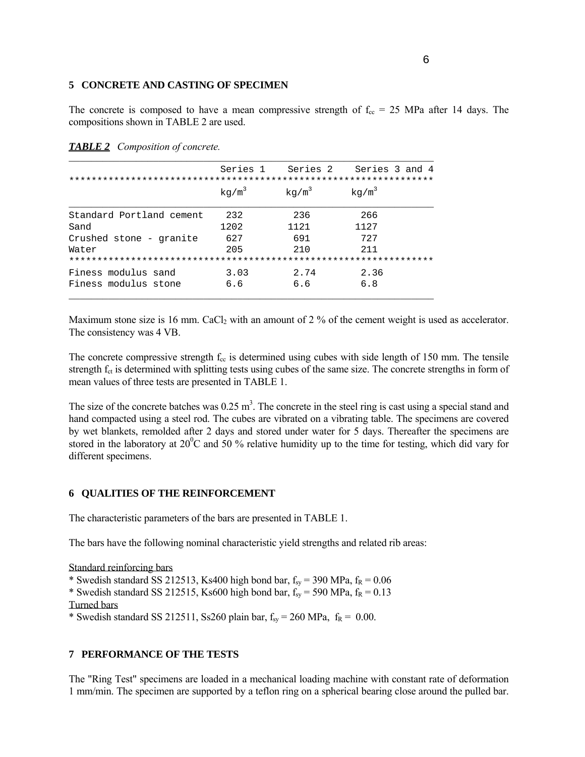## **5 CONCRETE AND CASTING OF SPECIMEN**

The concrete is composed to have a mean compressive strength of  $f_{cc} = 25$  MPa after 14 days. The compositions shown in TABLE 2 are used.

|                          | Series 1 | Series 2          | Series 3 and 4 |
|--------------------------|----------|-------------------|----------------|
|                          |          |                   |                |
|                          | $kq/m^3$ | kg/m <sup>3</sup> | $kq/m^3$       |
| Standard Portland cement | 232      | 236               | 266            |
| Sand                     | 1202     | 1121              | 1127           |
| Crushed stone - granite  | 627      | 691               | 727            |
| Water                    | 205      | 210               | 211            |
|                          |          |                   |                |
| Finess modulus sand      | 3.03     | 2.74              | 2.36           |
| Finess modulus stone     | 6.6      | 6.6               | 6.8            |

*TABLE 2 Composition of concrete.*

Maximum stone size is 16 mm. CaCl<sub>2</sub> with an amount of 2 % of the cement weight is used as accelerator. The consistency was 4 VB.

The concrete compressive strength  $f_{cc}$  is determined using cubes with side length of 150 mm. The tensile strength  $f<sub>ct</sub>$  is determined with splitting tests using cubes of the same size. The concrete strengths in form of mean values of three tests are presented in TABLE 1.

The size of the concrete batches was  $0.25 \text{ m}^3$ . The concrete in the steel ring is cast using a special stand and hand compacted using a steel rod. The cubes are vibrated on a vibrating table. The specimens are covered by wet blankets, remolded after 2 days and stored under water for 5 days. Thereafter the specimens are stored in the laboratory at  $20^{\circ}$ C and 50 % relative humidity up to the time for testing, which did vary for different specimens.

# **6 QUALITIES OF THE REINFORCEMENT**

The characteristic parameters of the bars are presented in TABLE 1.

The bars have the following nominal characteristic yield strengths and related rib areas:

Standard reinforcing bars \* Swedish standard SS 212513, Ks400 high bond bar,  $f_{sy} = 390 \text{ MPa}$ ,  $f_R = 0.06$ \* Swedish standard SS 212515, Ks600 high bond bar,  $f_{sy}$  = 590 MPa,  $f_R$  = 0.13 Turned bars \* Swedish standard SS 212511, Ss260 plain bar,  $f_{sy} = 260 \text{ MPa}$ ,  $f_R = 0.00$ .

# **7 PERFORMANCE OF THE TESTS**

The "Ring Test" specimens are loaded in a mechanical loading machine with constant rate of deformation 1 mm/min. The specimen are supported by a teflon ring on a spherical bearing close around the pulled bar.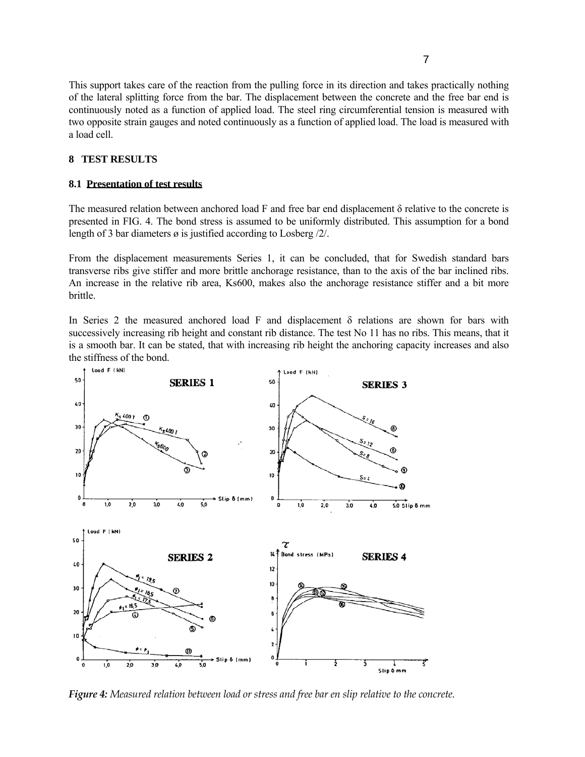This support takes care of the reaction from the pulling force in its direction and takes practically nothing of the lateral splitting force from the bar. The displacement between the concrete and the free bar end is continuously noted as a function of applied load. The steel ring circumferential tension is measured with two opposite strain gauges and noted continuously as a function of applied load. The load is measured with a load cell.

## **8 TEST RESULTS**

### **8.1 Presentation of test results**

The measured relation between anchored load F and free bar end displacement  $\delta$  relative to the concrete is presented in FIG. 4. The bond stress is assumed to be uniformly distributed. This assumption for a bond length of 3 bar diameters ø is justified according to Losberg /2/.

From the displacement measurements Series 1, it can be concluded, that for Swedish standard bars transverse ribs give stiffer and more brittle anchorage resistance, than to the axis of the bar inclined ribs. An increase in the relative rib area, Ks600, makes also the anchorage resistance stiffer and a bit more brittle.

In Series 2 the measured anchored load F and displacement  $\delta$  relations are shown for bars with successively increasing rib height and constant rib distance. The test No 11 has no ribs. This means, that it is a smooth bar. It can be stated, that with increasing rib height the anchoring capacity increases and also the stiffness of the bond.



*Figure 4: Measured relation between load or stress and free bar en slip relative to the concrete.*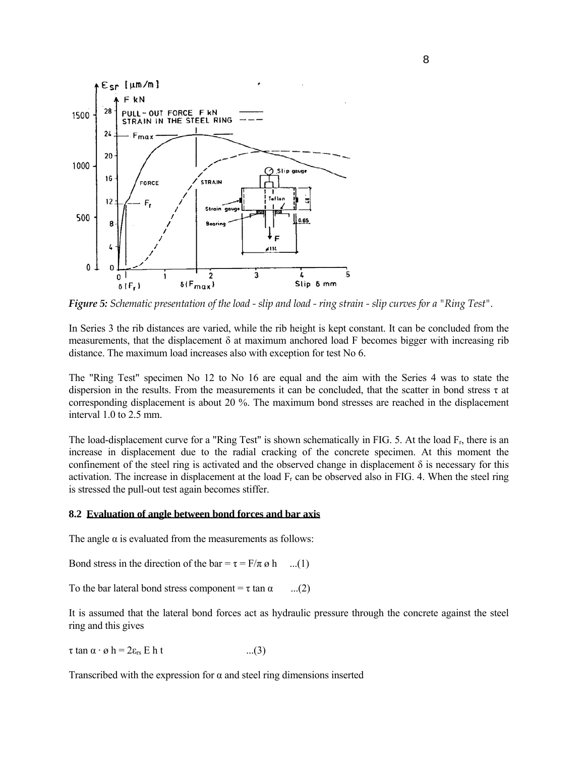

*Figure 5: Schematic presentation of the load - slip and load - ring strain - slip curves for a "Ring Test".*

In Series 3 the rib distances are varied, while the rib height is kept constant. It can be concluded from the measurements, that the displacement  $\delta$  at maximum anchored load F becomes bigger with increasing rib distance. The maximum load increases also with exception for test No 6.

The "Ring Test" specimen No 12 to No 16 are equal and the aim with the Series 4 was to state the dispersion in the results. From the measurements it can be concluded, that the scatter in bond stress  $\tau$  at corresponding displacement is about 20 %. The maximum bond stresses are reached in the displacement interval 1.0 to 2.5 mm.

The load-displacement curve for a "Ring Test" is shown schematically in FIG. 5. At the load  $F_r$ , there is an increase in displacement due to the radial cracking of the concrete specimen. At this moment the confinement of the steel ring is activated and the observed change in displacement  $\delta$  is necessary for this activation. The increase in displacement at the load  $F_r$  can be observed also in FIG. 4. When the steel ring is stressed the pull-out test again becomes stiffer.

#### **8.2 Evaluation of angle between bond forces and bar axis**

The angle  $\alpha$  is evaluated from the measurements as follows:

Bond stress in the direction of the bar =  $\tau = F/\pi \varnothing$  h ...(1)

To the bar lateral bond stress component =  $\tau$  tan  $\alpha$  ...(2)

It is assumed that the lateral bond forces act as hydraulic pressure through the concrete against the steel ring and this gives

 $\tau \tan \alpha \cdot \varnothing$  h =  $2\varepsilon_{rs}$  E h t ...(3)

Transcribed with the expression for  $\alpha$  and steel ring dimensions inserted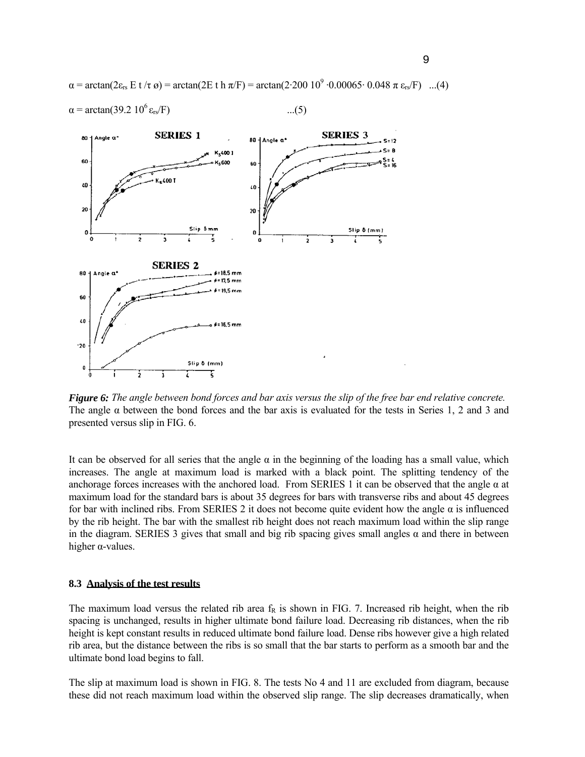$\alpha = \arctan(2\varepsilon_{rs} E t / \tau \omega) = \arctan(2E t h \pi /F) = \arctan(2.200 \frac{10^9 \cdot 0.00065 \cdot 0.048 \pi \varepsilon_{rs} F}{F})$  ...(4)



 $\alpha = \arctan(39.2 \ 10^6 \ \text{e}_{\text{rs}}/\text{F})$  ...(5)

*Figure 6: The angle between bond forces and bar axis versus the slip of the free bar end relative concrete.*  The angle  $\alpha$  between the bond forces and the bar axis is evaluated for the tests in Series 1, 2 and 3 and presented versus slip in FIG. 6.

It can be observed for all series that the angle  $\alpha$  in the beginning of the loading has a small value, which increases. The angle at maximum load is marked with a black point. The splitting tendency of the anchorage forces increases with the anchored load. From SERIES 1 it can be observed that the angle  $\alpha$  at maximum load for the standard bars is about 35 degrees for bars with transverse ribs and about 45 degrees for bar with inclined ribs. From SERIES 2 it does not become quite evident how the angle  $\alpha$  is influenced by the rib height. The bar with the smallest rib height does not reach maximum load within the slip range in the diagram. SERIES 3 gives that small and big rib spacing gives small angles  $\alpha$  and there in between higher α-values.

### **8.3 Analysis of the test results**

The maximum load versus the related rib area  $f<sub>R</sub>$  is shown in FIG. 7. Increased rib height, when the rib spacing is unchanged, results in higher ultimate bond failure load. Decreasing rib distances, when the rib height is kept constant results in reduced ultimate bond failure load. Dense ribs however give a high related rib area, but the distance between the ribs is so small that the bar starts to perform as a smooth bar and the ultimate bond load begins to fall.

The slip at maximum load is shown in FIG. 8. The tests No 4 and 11 are excluded from diagram, because these did not reach maximum load within the observed slip range. The slip decreases dramatically, when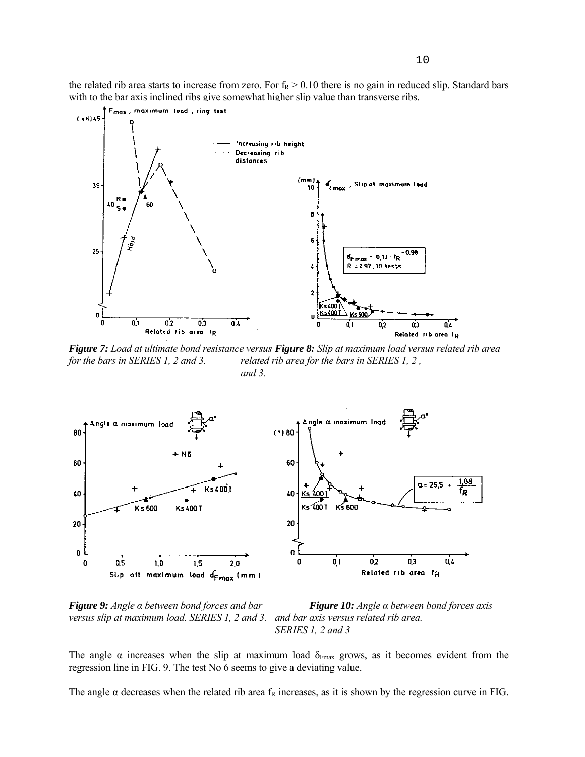the related rib area starts to increase from zero. For  $f_R > 0.10$  there is no gain in reduced slip. Standard bars with to the bar axis inclined ribs give somewhat higher slip value than transverse ribs.



*Figure 7: Load at ultimate bond resistance versus Figure 8: Slip at maximum load versus related rib area for the bars in SERIES 1, 2 and 3. related rib area for the bars in SERIES 1, 2, and 3.* 



*Figure 9: Angle α between bond forces and bar Figure 10: Angle α between bond forces axis versus slip at maximum load. SERIES 1, 2 and 3. and bar axis versus related rib area.* 

 *SERIES 1, 2 and 3* 

The angle  $\alpha$  increases when the slip at maximum load  $\delta_{Fmax}$  grows, as it becomes evident from the regression line in FIG. 9. The test No 6 seems to give a deviating value.

The angle  $\alpha$  decreases when the related rib area  $f_R$  increases, as it is shown by the regression curve in FIG.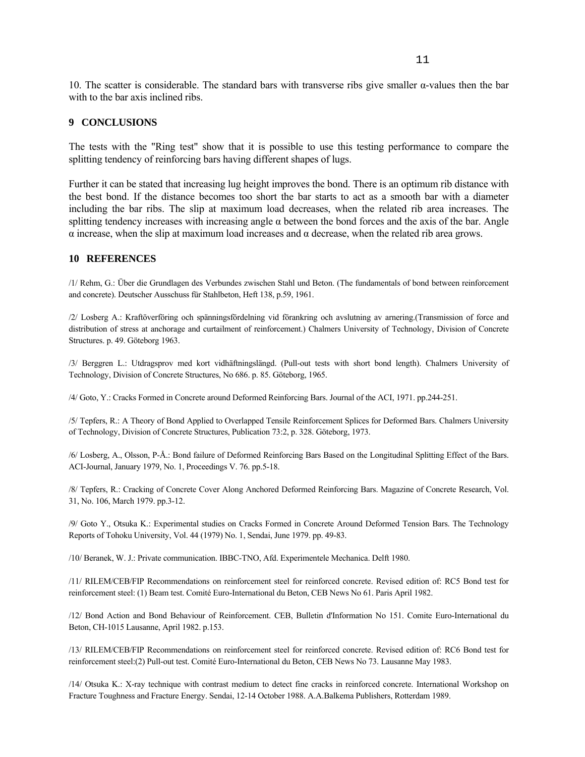10. The scatter is considerable. The standard bars with transverse ribs give smaller α-values then the bar with to the bar axis inclined ribs.

## **9 CONCLUSIONS**

The tests with the "Ring test" show that it is possible to use this testing performance to compare the splitting tendency of reinforcing bars having different shapes of lugs.

Further it can be stated that increasing lug height improves the bond. There is an optimum rib distance with the best bond. If the distance becomes too short the bar starts to act as a smooth bar with a diameter including the bar ribs. The slip at maximum load decreases, when the related rib area increases. The splitting tendency increases with increasing angle  $\alpha$  between the bond forces and the axis of the bar. Angle α increase, when the slip at maximum load increases and α decrease, when the related rib area grows.

## **10 REFERENCES**

/1/ Rehm, G.: Über die Grundlagen des Verbundes zwischen Stahl und Beton. (The fundamentals of bond between reinforcement and concrete). Deutscher Ausschuss für Stahlbeton, Heft 138, p.59, 1961.

/2/ Losberg A.: Kraftöverföring och spänningsfördelning vid förankring och avslutning av arnering.(Transmission of force and distribution of stress at anchorage and curtailment of reinforcement.) Chalmers University of Technology, Division of Concrete Structures. p. 49. Göteborg 1963.

/3/ Berggren L.: Utdragsprov med kort vidhäftningslängd. (Pull-out tests with short bond length). Chalmers University of Technology, Division of Concrete Structures, No 686. p. 85. Göteborg, 1965.

/4/ Goto, Y.: Cracks Formed in Concrete around Deformed Reinforcing Bars. Journal of the ACI, 1971. pp.244-251.

/5/ Tepfers, R.: A Theory of Bond Applied to Overlapped Tensile Reinforcement Splices for Deformed Bars. Chalmers University of Technology, Division of Concrete Structures, Publication 73:2, p. 328. Göteborg, 1973.

/6/ Losberg, A., Olsson, P-Å.: Bond failure of Deformed Reinforcing Bars Based on the Longitudinal Splitting Effect of the Bars. ACI-Journal, January 1979, No. 1, Proceedings V. 76. pp.5-18.

/8/ Tepfers, R.: Cracking of Concrete Cover Along Anchored Deformed Reinforcing Bars. Magazine of Concrete Research, Vol. 31, No. 106, March 1979. pp.3-12.

/9/ Goto Y., Otsuka K.: Experimental studies on Cracks Formed in Concrete Around Deformed Tension Bars. The Technology Reports of Tohoku University, Vol. 44 (1979) No. 1, Sendai, June 1979. pp. 49-83.

/10/ Beranek, W. J.: Private communication. IBBC-TNO, Afd. Experimentele Mechanica. Delft 1980.

/11/ RILEM/CEB/FIP Recommendations on reinforcement steel for reinforced concrete. Revised edition of: RC5 Bond test for reinforcement steel: (1) Beam test. Comité Euro-International du Beton, CEB News No 61. Paris April 1982.

/12/ Bond Action and Bond Behaviour of Reinforcement. CEB, Bulletin d'Information No 151. Comite Euro-International du Beton, CH-1015 Lausanne, April 1982. p.153.

/13/ RILEM/CEB/FIP Recommendations on reinforcement steel for reinforced concrete. Revised edition of: RC6 Bond test for reinforcement steel:(2) Pull-out test. Comité Euro-International du Beton, CEB News No 73. Lausanne May 1983.

/14/ Otsuka K.: X-ray technique with contrast medium to detect fine cracks in reinforced concrete. International Workshop on Fracture Toughness and Fracture Energy. Sendai, 12-14 October 1988. A.A.Balkema Publishers, Rotterdam 1989.